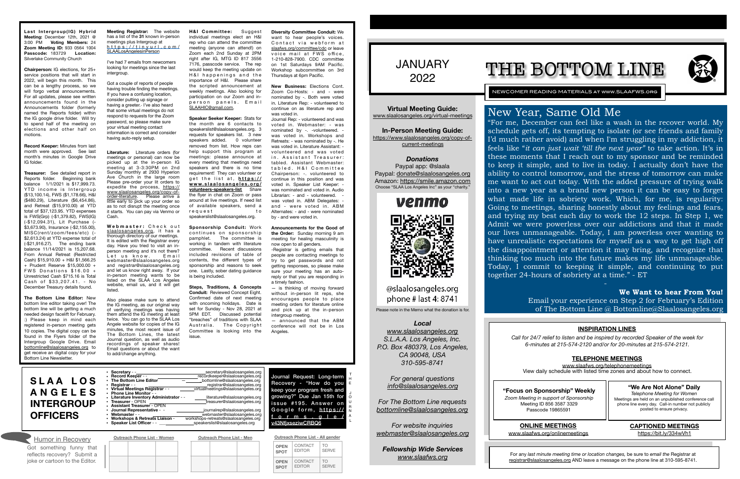

NEWCOMER READING MATERIALS at www.SLAAFWS.org

**Virtual Meeting Guide:**  [www.slaalosangeles.org/virtual-meetings](http://www.slaalosangeles.org/virtual-meetings)

**In-Person Meeting Guide:**  [https://www.slaalosangeles.org/copy-of](https://www.slaalosangeles.org/copy-of-current-meetings)[current-meetings](https://www.slaalosangeles.org/copy-of-current-meetings)

*Donations*  Paypal app: @slaala Paypal: [donate@slaalosangeles.org](mailto:donate@slaalosangeles.org) Amazon: [https://smile.amazon.com](https://smile.amazon.com/) Choose "SLAA Los Angeles Inc" as your "charity."



### @slaalosangeles.org phone  $#$  last 4: 8741

Please note in the Memo what the donation is for.

### *Local*

*[www.slaalosangeles.org](http://www.slaalosangeles.org) S.L.A.A. Los Angeles, Inc. P.O. Box 480379, Los Angeles, CA 90048, USA 310-595-8741* 

> *For general questions [info@slaalosangeles.org](mailto:info@slaalosangeles.org)*

*For The Bottom Line requests [bottomline@slaalosangeles.org](mailto:bottomline@slaalosangeles.org)*

*For website inquiries [webmaster@slaalosangeles.org](mailto:webmaster@slaalosangeles.org)*

*Fellowship Wide Services [www.slaafws.org](http://www.slaafws.org)*

Last Intergroup(IG) Hybrid **Meeting:** December 12th, 2021 @ 3:00 PM **Voting Members:** 24 **Zoom Meeting ID:** 933 0564 1004 **Passcode:** 183729 **Location:**  Silverlake Community Church

> **"Focus on Sponsorship" Weekly** *Zoom Meeting in support of Sponsorship*  Meeting ID 856 3587 3329 Passcode 19865591

For any *last minute meeting time or location changes,* be sure to *email the* Registrar at [registrar@slaalosangeles.org](mailto:registrar@slaalosangeles.org) AND leave a message on the phone line at 310-595-8741.

# THE BOTTOM LINE



Journal Request: Long-term

Recovery - "How do you keep your program fresh and growing?" Due Jan 15th for issue #195. Answer on Google form, [https://](https://forms.gle/v43NfjxseziwCRBQ6) [forms.gle/](https://forms.gle/v43NfjxseziwCRBQ6) [v43NfjxseziwCRBQ6](https://forms.gle/v43NfjxseziwCRBQ6)

**Chairperson:** IG elections, for 25+ service positions that will start in 2022, will begin this month. This can be a lengthy process, so we will forgo verbal announcements. For all updates, please see written announcements found in the Announcements folder (formerly named the Reports folder) within the IG google drive folder. Will try to spend half of the meeting on elections and other half on motions.

I've had 7 emails from newcomers looking for meetings since the last intergroup.

**Record Keeper:** Minutes from last month were approved. See last month's minutes in Google Drive IG folder.

> Webmaster: Check out [slaalosangeles.org](http://slaalosangeles.org), it has a thorough directory of our meetings. It is edited with the Registrar every day. Have you tried to visit an inperson meeting and it's not there? Let us know . Fmail webmaster@slaalosangeles.org and registrar@slaalosangeles.org and let us know right away. If your in-person meeting wants to be listed on the SLAA Los Angeles website, email us, and it will get listed.

**Treasurer:** See detailed report in Reports folder. Beginning bank balance 1/1/2021 is \$17,999.73. YTD income is Intergroup (\$13,100.14), FWS (\$1,178.66), H&I (\$480.29), Literature (\$6,454.86), and Retreat (\$15,910.00) at YTD total of \$37,123.95. YTD expenses is FWS(Grp) (-\$1,379.82), FWS(IG) (-\$12,094.31), Lit Purchase (- \$3,673.90), Insurance (-\$2,155.00), MISC(rent/zoom/fees/etc) (- \$2,613.24) at YTD expense total of (-\$21,916.27). The ending bank balance 11/14/2021 is 15,207.68. From Annual Retreat (Restricted Cash) \$15,910.00 + H&I \$1,566.25 + Prudent Reserve \$15,000.00 + FWS Donations  $$16.00 +$ Unrestricted Cash \$715.16 is Total Cash of \$33,207.41. - No December Treasury details found.

**The Bottom Line Editor:** New bottom line editor taking over! The bottom line will be getting a much needed design facelift for February. :) Please keep in mind each registered in-person meeting gets 10 copies. The digital copy can be found in the Flyers folder of the Intergroup Google Drive. Email [bottomline@slaalosangeles.org](mailto:bottomline@slaalosangeles.org) to get receive an digital copy for your Bottom Line Newsletter.

**Meeting Registrar:** The website has a list of the **31** known in-person meetings plus Intergroup at [https://tinyurl.com/](https://tinyurl.com/SLAALosAngelesinPerson) [SLAALosAngelesinPerson](https://tinyurl.com/SLAALosAngelesinPerson)

Got a couple of reports of people having trouble finding the meetings. If you have a confusing location, consider putting up signage or having a greeter.- I've also heard that some virtual meetings do not respond to requests for the Zoom password, so please make sure your virtual meeting contact information is correct and consider having auto-reply setup.

**Literature:** Literature orders (for meetings or personal) can now be picked up at the in-person IG meeting at 3-3:30PM on 2nd Sunday monthly at 2930 Hyperion Ave Church in the large room Please pre-order your lit orders to expedite the process, [https://](https://www.slaalosangeles.org/copy-of-order-literature) [www.slaalosangeles.org/copy-of](https://www.slaalosangeles.org/copy-of-order-literature)[order-literature](https://www.slaalosangeles.org/copy-of-order-literature). Please arrive a little early to pick up your order so as to not disrupt the meeting once it starts. You can pay via Venmo or Cash.

> — announced that the ABM conference will not be in Los **Angeles**

**Outreach Phone List - Women Outreach Phone List - Men** Humor in Recovery **Outreach Phone List - Women Outreach Phone List - Men Outreach Phone List - All gender** 

> **CONTACT** EDITOR

TO **SERVE** 

Also please make sure to attend the IG meeting, as our original way of verifying meetings was having them attend the IG meeting at least twice. You can go to the SLAA Los Angele website for copies of the IG minutes, the most recent issue of The Bottom Lines, the latest Journal question, as well as audio recordings of speaker shares! Email questions or about the want to add/change anything.

**H&I Committee:** Suggest individual meetings elect an H&I rep who can attend the committee meeting (anyone can attend!) on Zoom each 2nd Sunday at 2PM right after IG, MTG ID 817 3556 7176, passcode service. The rep would keep the meeting update on H&I happenings and the importance of H&I. Please share the scripted announcement at weekly meetings. Also looking for participation on our Zoom and inperson panels. Email [SLAAHIC@gmail.com.](mailto:SLAAHIC@gmail.com)

> **We Want to hear From You!**  Email your experience on Step 2 for February's Edition of The Bottom Line  $\omega$  Bottomline  $\omega$ Slaalosangeles.org

**Speaker Seeker Keeper:** Stats for the month are 6 contacts to speakerslist@slaalosangeles.org. 3 requests for speakers list. 3 new speakers added. 0 volunteer removed from list. How reps can help support this program at meetings: please announce at every meeting that meetings need speakers and there is no time requirement! They can volunteer or get the list at, [https://](https://www.slaalosangeles.org/volunteers-speakers-list) **[www.slaalosangeles.org/](https://www.slaalosangeles.org/volunteers-speakers-list) [volunteers-speakers-list](https://www.slaalosangeles.org/volunteers-speakers-list)** Share the flyer in chat on Zoom or pass around at live meetings. If need list of available speakers, send a request to speakerslist@slaalosangeles.org.

**Sponsorship Conduit:** Work continues on sponsorship pamphlet. The committee is working in tandem with literature committee. Recent discussions included revisions of table of contents, the different types of sponsorship and reasons to seek one. Lastly, sober dating guidance is being included.

**Steps, Traditions, & Concepts Conduit: Reviewed Concept Fight.** Confirmed date of next meeting with oncoming holidays. Date is set for Sunday - Nov 28, 2021 at 5PM EDT. Discussed potential "breaches" of traditions with SLAA Australia. The Copyright Committee is looking into the issue.

**Diversity Committee Conduit:** We want to hear people's voices. Contact via webform at [slaafws.org/committee/cdc](http://slaafws.org/committee/cdc) or leave voice mail at FWS office, 1-210-828-7900. CDC committee on 1st Saturdays 9AM Pacific. Workshop subcommittee on 3rd Thursdays at 6pm Pacific.

**New Business:** Elections Cont.

Zoom Co-Hosts: - and - were nominated by -. Both were voted in. Literature Rep: - volunteered to continue on as literature rep and was voted in.

Journal Rep: - volunteered and was voted in. Webmaster: - was nominated by -. -volunteered. was voted in. Workshops and Retreats: - was nominated by -. He was voted in. Literature Assistant: volunteered and was voted in. Assistant Treasurer: tabled. Assistant Webmaster: tabled. H&I Committee Chairperson: -. volunteered to continue in this position and was voted in. Speaker List Keeper: was nominated and voted in. Audio Librarian: - and - volunteered. was voted in. ABM Delegates: and - were voted in. ABM Alternates: - and - were nominated by - and were voted in.

**Announcements for the Good of the Order:** Sunday morning 9 am meeting for healing masculinity is now open to all genders.

-Registrar is getting emails that people are contacting meetings to try to get passwords and not getting responses, so please make sure your meeting has an autoreply or that you are responding in a timely fashion.

— is thinking of moving forward without in-person lit reps, she encourages people to place meeting orders for literature online and pick up at the in-person intergroup meeting.

| • Secretary - -                          | secretary@slaalosangeles.org          |
|------------------------------------------|---------------------------------------|
| • Record Keeper - -                      | recordkeeper@slaalosangeles.org       |
| • The Bottom Line Editor                 | bottomline@slaalosangeles.org         |
| • Registrar - -                          | registrar@slaalosangeles.org          |
| • Virtual Meetings Registrar - -         | virtualmeetings@slaalosangeles.org    |
| • Phone Line Monitor - -                 |                                       |
| • Literature Inventory Administrator - - | literature@slaalosangeles.org         |
| • Treasurer - OPEN                       | treasurer@slaalosangeles.org          |
| • Assistant Treasurer - OPEN             |                                       |
| • Journal Representative - -             | journalrep@slaalosangeles.org         |
| Webmaster - -                            | webmaster@slaalosangeles.org          |
| • Workshops & Retreats Liaison -         | workshops-retreats@slaalosangeles.org |
| • Speaker List Officer - -               | speakerslist@slaalosangeles.org       |

**OPEN SPOT** CONTACT EDITOR

TO SERVE

**OPEN SPOT**

Got something funny that reflects recovery? Submit a joke or cartoon to the Editor.

| SLAA LOS                            |  |
|-------------------------------------|--|
| <b>ANGELES</b><br><b>INTERGROUP</b> |  |
| <b>OFFICERS</b>                     |  |

T H E J O U R N A L

### **INSPIRATION LINES**

*Call for 24/7 relief to listen and be inspired by recorded Speaker of the week for 6-minutes at 215-574-2120 and/or for 20-minutes at 215-574-2121.* 

### **TELEPHONE MEETINGS**

[www.slaafws.org/telephonemeetings](http://www.slaafws.org/telephonemeetings) View daily schedule with listed time zones and about how to connect.

**ONLINE MEETINGS**  [www.slaafws.org/onlinemeetings](http://www.slaafws.org/onlinemeetings)

### **"We Are Not Alone" Daily**

*Telephone Meeting for Women*  Meetings are held on an unpublished conference call phone line every day. Call-in number not publicly posted to ensure privacy.

### **CAPTIONED MEETINGS**

<https://bit.ly/334wVh1>

# New Year, Same Old Me

"For me, December can feel like a wash in the recover world. My schedule gets off, its tempting to isolate (or see friends and family I'd much rather avoid) and when I'm struggling in my addiction, it feels like "*it can just wait 'till the next year"* to take action. It's in these moments that I reach out to my sponsor and be reminded to keep it simple, and to live in today. I actually don't have the ability to control tomorrow, and the stress of tomorrow can make me want to act out today. With the added pressure of trying walk into a new year as a brand new person it can be easy to forget what made life in sobriety work. Which, for me, is regularity: Going to meetings, sharing honestly about my feelings and fears, and trying my best each day to work the 12 steps. In Step 1, we Admit we were powerless over our addictions and that it made our lives unmanageable. Today, I am powerless over wanting to have unrealistic expectations for myself as a way to get high off the disappointment or attention it may bring, and recognize that thinking too much into the future makes my life unmanageable. Today, I commit to keeping it simple, and continuing to put together 24-hours of sobriety at a time." - ET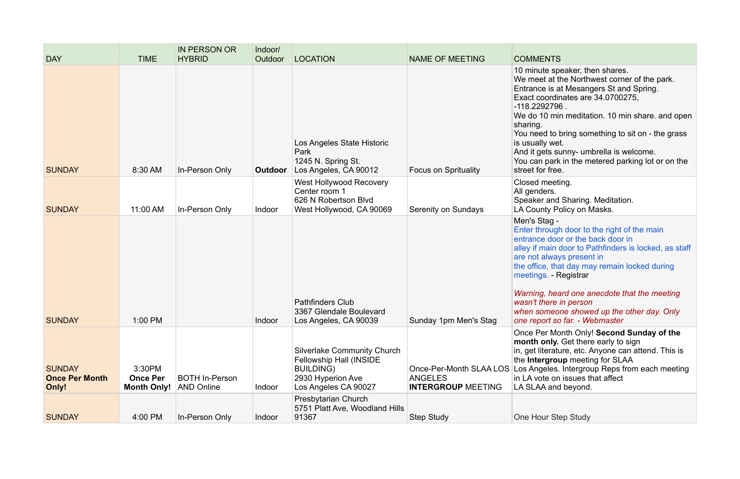| <b>DAY</b>                                      | <b>TIME</b>                                     | <b>IN PERSON OR</b><br><b>HYBRID</b>       | Indoor/<br>Outdoor | <b>LOCATION</b>                                                                                                                       | <b>NAME OF MEETING</b>                                                 | <b>COMMENTS</b>                                                                                                                                                                                     |
|-------------------------------------------------|-------------------------------------------------|--------------------------------------------|--------------------|---------------------------------------------------------------------------------------------------------------------------------------|------------------------------------------------------------------------|-----------------------------------------------------------------------------------------------------------------------------------------------------------------------------------------------------|
| <b>SUNDAY</b>                                   | 8:30 AM                                         | In-Person Only                             | <b>Outdoor</b>     | Los Angeles State Historic<br>Park<br>1245 N. Spring St.<br>Los Angeles, CA 90012                                                     | <b>Focus on Sprituality</b>                                            | 10 minute sp<br>We meet at tl<br>Entrance is a<br>Exact coordir<br>-118.2292796<br>We do 10 mir<br>sharing.<br>You need to b<br>is usually wet<br>And it gets su<br>You can park<br>street for free |
| <b>SUNDAY</b>                                   | 11:00 AM                                        | In-Person Only                             | Indoor             | <b>West Hollywood Recovery</b><br>Center room 1<br>626 N Robertson Blvd<br>West Hollywood, CA 90069                                   | <b>Serenity on Sundays</b>                                             | <b>Closed meeti</b><br>All genders.<br>Speaker and<br>LA County Po                                                                                                                                  |
|                                                 |                                                 |                                            |                    | <b>Pathfinders Club</b><br>3367 Glendale Boulevard                                                                                    |                                                                        | Men's Stag -<br><b>Enter through</b><br>entrance doo<br>alley if main o<br>are not alway<br>the office, that<br>meetings. - R<br>Warning, hea<br>wasn't there<br>when someo                         |
| <b>SUNDAY</b>                                   | 1:00 PM                                         |                                            | Indoor             | Los Angeles, CA 90039                                                                                                                 | Sunday 1pm Men's Stag                                                  | one report so                                                                                                                                                                                       |
| <b>SUNDAY</b><br><b>Once Per Month</b><br>Only! | 3:30PM<br><b>Once Per</b><br><b>Month Only!</b> | <b>BOTH In-Person</b><br><b>AND Online</b> | Indoor             | <b>Silverlake Community Church</b><br><b>Fellowship Hall (INSIDE</b><br><b>BUILDING)</b><br>2930 Hyperion Ave<br>Los Angeles CA 90027 | Once-Per-Month SLAA LOS<br><b>ANGELES</b><br><b>INTERGROUP MEETING</b> | Once Per Mo<br>month only.<br>in, get literatu<br>the Intergrou<br>Los Angeles.<br>in LA vote on<br>LA SLAA and                                                                                     |
| <b>SUNDAY</b>                                   | 4:00 PM                                         | In-Person Only                             | Indoor             | Presbytarian Church<br>5751 Platt Ave, Woodland Hills<br>91367                                                                        | <b>Step Study</b>                                                      | <b>One Hour Ste</b>                                                                                                                                                                                 |

Ite speaker, then shares. et at the Northwest corner of the park. e is at Mesangers St and Spring. oordinates are  $34.0700275$ , 92796 . 10 min meditation. 10 min share. and open ed to bring something to sit on - the grass ly wet. ets sunny- umbrella is welcome. park in the metered parking lot or on the or free. meeting. lers. r and Sharing. Meditation. nty Policy on Masks. stag rough door to the right of the main e door or the back door in main door to Pathfinders is locked, as staff always present in the office, that day may remain locked during gs. - Registrar *Warning, heard one anecdote that the meeting here in person when someone showed up the other day. Only one report so far. - Webmaster* er Month Only! Second Sunday of the **only.** Get there early to sign

iterature, etc. Anyone can attend. This is **rgroup** meeting for SLAA geles. Intergroup Reps from each meeting ite on issues that affect A and beyond.

ur Step Study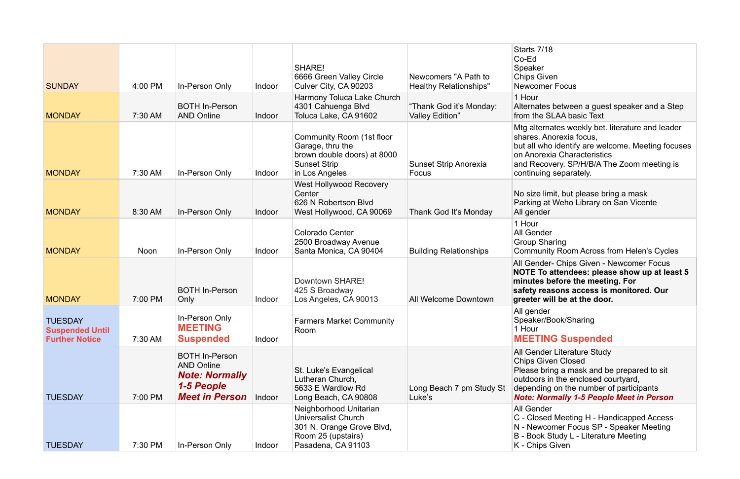der Literature Study **Given Closed** bring a mask and be prepared to sit is in the enclosed courtyard, ing on the number of participants *Note: Normally 1-5 People Meet in Person*

der ed Meeting H - Handicapped Access v comer Focus SP - Speaker Meeting k Study L - Literature Meeting vs Given

| <b>SUNDAY</b>                                                     | 4:00 PM     | In-Person Only                                                                                             | Indoor | <b>SHARE!</b><br>6666 Green Valley Circle<br>Culver City, CA 90203                                                            | Newcomers "A Path to<br><b>Healthy Relationships"</b> | Starts 7/<br>$Co-Ed$<br>Speaker<br>Chips Giv<br>Newcom                      |
|-------------------------------------------------------------------|-------------|------------------------------------------------------------------------------------------------------------|--------|-------------------------------------------------------------------------------------------------------------------------------|-------------------------------------------------------|-----------------------------------------------------------------------------|
| <b>MONDAY</b>                                                     | 7:30 AM     | <b>BOTH In-Person</b><br><b>AND Online</b>                                                                 | Indoor | Harmony Toluca Lake Church<br>4301 Cahuenga Blvd<br>Toluca Lake, CA 91602                                                     | "Thank God it's Monday:<br><b>Valley Edition"</b>     | 1 Hour<br><b>Alternate</b><br>from the                                      |
| <b>MONDAY</b>                                                     | 7:30 AM     | In-Person Only                                                                                             | Indoor | Community Room (1st floor<br>Garage, thru the<br>brown double doors) at 8000<br><b>Sunset Strip</b><br>in Los Angeles         | <b>Sunset Strip Anorexia</b><br>Focus                 | Mtg alter<br>shares. A<br>but all wh<br>on Anore<br>and Reco<br>continuin   |
| <b>MONDAY</b>                                                     | 8:30 AM     | In-Person Only                                                                                             | Indoor | West Hollywood Recovery<br>Center<br>626 N Robertson Blvd<br>West Hollywood, CA 90069                                         | Thank God It's Monday                                 | No size li<br>Parking a<br>All gende                                        |
| <b>MONDAY</b>                                                     | <b>Noon</b> | In-Person Only                                                                                             | Indoor | <b>Colorado Center</b><br>2500 Broadway Avenue<br>Santa Monica, CA 90404                                                      | <b>Building Relationships</b>                         | 1 Hour<br>All Gend<br>Group SI<br>Commun                                    |
| <b>MONDAY</b>                                                     | 7:00 PM     | <b>BOTH In-Person</b><br>Only                                                                              | Indoor | Downtown SHARE!<br>425 S Broadway<br>Los Angeles, CA 90013                                                                    | <b>All Welcome Downtown</b>                           | <b>All Gende</b><br><b>NOTE To</b><br>minutes<br>safety re<br>greeter v     |
| <b>TUESDAY</b><br><b>Suspended Until</b><br><b>Further Notice</b> | 7:30 AM     | In-Person Only<br><b>MEETING</b><br><b>Suspended</b>                                                       | Indoor | <b>Farmers Market Community</b><br>Room                                                                                       |                                                       | All gende<br>Speaker/<br>1 Hour<br><b>MEETII</b>                            |
| <b>TUESDAY</b>                                                    | 7:00 PM     | <b>BOTH In-Person</b><br><b>AND Online</b><br><b>Note: Normally</b><br>1-5 People<br><b>Meet in Person</b> | Indoor | St. Luke's Evangelical<br>Lutheran Church,<br>5633 E Wardlow Rd<br>Long Beach, CA 90808                                       | Long Beach 7 pm Study St<br>Luke's                    | All Gend<br>Chips Gi<br>Please b<br>outdoors<br>dependin<br><b>Note: No</b> |
| <b>TUESDAY</b>                                                    | 7:30 PM     | In-Person Only                                                                                             | Indoor | Neighborhood Unitarian<br><b>Universalist Church</b><br>301 N. Orange Grove Blvd,<br>Room 25 (upstairs)<br>Pasadena, CA 91103 |                                                       | All Gend<br>C - Close<br>N - Newc<br>B - Book<br>K - Chips                  |

## $/18$

iven ner Focus

tes between a guest speaker and a Step SLAA basic Text

mates weekly bet. literature and leader Anorexia focus, vho identify are welcome. Meeting focuses rexia Characteristics covery. SP/H/B/A The Zoom meeting is ng separately.

limit, but please bring a mask at Weho Library on San Vicente ler

der Sharing nity Room Across from Helen's Cycles

der- Chips Given - Newcomer Focus **To attendees: please show up at least 5 before the meeting. For safety reasons access is monitored. Our**  will be at the door.

ler r/Book/Sharing

# **ING Suspended**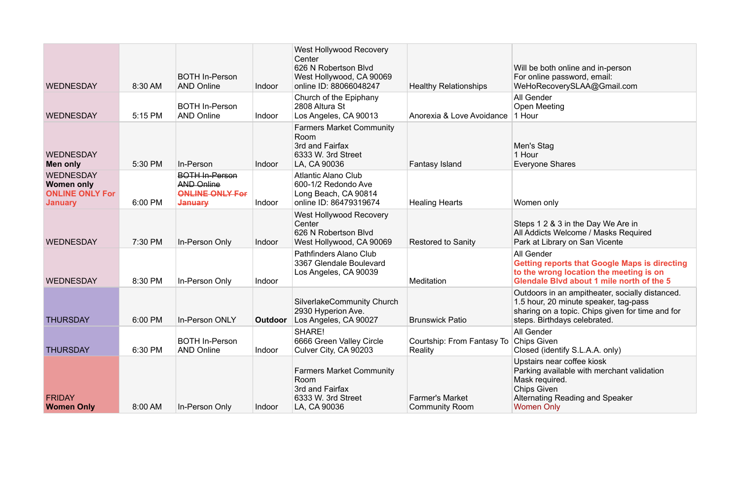| Will be both online and in-person |
|-----------------------------------|
| For online password, email:       |
| WeHoRecoverySLAA@Gmail.com        |
| All Gender                        |

leeting

ne Shares

2 & 3 in the Day We Are in cts Welcome / Masks Required Library on San Vicente

rs in an ampitheater, socially distanced. 1.5 hour, 20 minute speaker, tag-pass sharing on a topic. Chips given for time and for steps. Birthdays celebrated.

> der **Given** (identify S.L.A.A. only) s near coffee kiosk available with merchant validation equired. Given ting Reading and Speaker Only

| <b>WEDNESDAY</b>                                                                  | 8:30 AM | <b>BOTH In-Person</b><br><b>AND Online</b>                                      | Indoor         | <b>West Hollywood Recovery</b><br>Center<br>626 N Robertson Blvd<br>West Hollywood, CA 90069<br>online ID: 88066048247 | <b>Healthy Relationships</b>                    | Will be both<br>For online pa<br>WeHoRecov                                                                      |
|-----------------------------------------------------------------------------------|---------|---------------------------------------------------------------------------------|----------------|------------------------------------------------------------------------------------------------------------------------|-------------------------------------------------|-----------------------------------------------------------------------------------------------------------------|
| <b>WEDNESDAY</b>                                                                  | 5:15 PM | <b>BOTH In-Person</b><br><b>AND Online</b>                                      | Indoor         | Church of the Epiphany<br>2808 Altura St<br>Los Angeles, CA 90013                                                      | Anorexia & Love Avoidance                       | All Gender<br><b>Open Meetir</b><br>1 Hour                                                                      |
| <b>WEDNESDAY</b><br>Men only                                                      | 5:30 PM | In-Person                                                                       | Indoor         | <b>Farmers Market Community</b><br>Room<br>3rd and Fairfax<br>6333 W. 3rd Street<br>LA, CA 90036                       | Fantasy Island                                  | Men's Stag<br>1 Hour<br>Everyone Sh                                                                             |
| <b>WEDNESDAY</b><br><b>Women only</b><br><b>ONLINE ONLY For</b><br><b>January</b> | 6:00 PM | <b>BOTH In-Person</b><br><b>AND Online</b><br><b>ONLINE ONLY For</b><br>January | Indoor         | <b>Atlantic Alano Club</b><br>600-1/2 Redondo Ave<br>Long Beach, CA 90814<br>online ID: 86479319674                    | <b>Healing Hearts</b>                           | Women only                                                                                                      |
| <b>WEDNESDAY</b>                                                                  | 7:30 PM | In-Person Only                                                                  | Indoor         | West Hollywood Recovery<br>Center<br>626 N Robertson Blvd<br>West Hollywood, CA 90069                                  | <b>Restored to Sanity</b>                       | Steps $128$<br>All Addicts V<br>Park at Libra                                                                   |
| <b>WEDNESDAY</b>                                                                  | 8:30 PM | In-Person Only                                                                  | Indoor         | Pathfinders Alano Club<br>3367 Glendale Boulevard<br>Los Angeles, CA 90039                                             | <b>Meditation</b>                               | All Gender<br><b>Getting repe</b><br>to the wrong<br><b>Glendale BI</b>                                         |
| <b>THURSDAY</b>                                                                   | 6:00 PM | In-Person ONLY                                                                  | <b>Outdoor</b> | <b>SilverlakeCommunity Church</b><br>2930 Hyperion Ave.<br>Los Angeles, CA 90027                                       | <b>Brunswick Patio</b>                          | Outdoors in<br>1.5 hour, 20<br>sharing on a<br>steps. Birthd                                                    |
| <b>THURSDAY</b>                                                                   | 6:30 PM | <b>BOTH In-Person</b><br><b>AND Online</b>                                      | Indoor         | <b>SHARE!</b><br>6666 Green Valley Circle<br>Culver City, CA 90203                                                     | Courtship: From Fantasy To<br><b>Reality</b>    | All Gender<br><b>Chips Given</b><br>Closed (iden                                                                |
| <b>FRIDAY</b><br><b>Women Only</b>                                                | 8:00 AM | In-Person Only                                                                  | Indoor         | <b>Farmers Market Community</b><br>Room<br>3rd and Fairfax<br>6333 W. 3rd Street<br>LA, CA 90036                       | <b>Farmer's Market</b><br><b>Community Room</b> | Upstairs nea<br>Parking avai<br>Mask require<br><b>Chips Given</b><br><b>Alternating F</b><br><b>Women Only</b> |

**Getting reports that Google Maps is directing to the wrong location the meeting is on Glendale Blvd about 1 mile north of the 5**